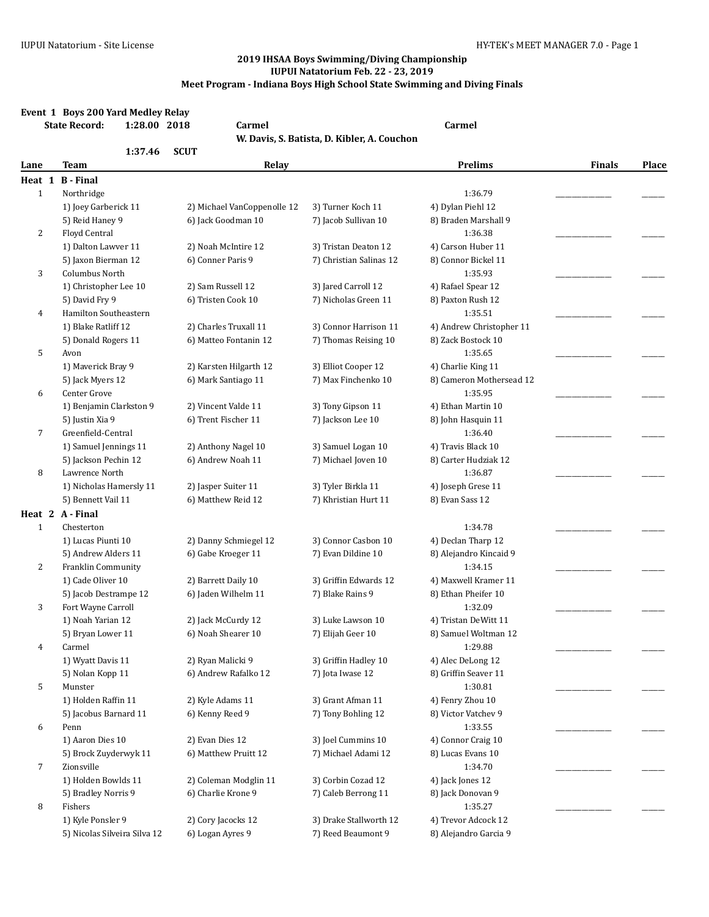|                | Event 1 Boys 200 Yard Medley Relay<br><b>State Record:</b><br>1:28.00 2018 | <b>Carmel</b>               |                                             | <b>Carmel</b>                   |               |       |
|----------------|----------------------------------------------------------------------------|-----------------------------|---------------------------------------------|---------------------------------|---------------|-------|
|                |                                                                            |                             | W. Davis, S. Batista, D. Kibler, A. Couchon |                                 |               |       |
| Lane           | 1:37.46<br><b>Team</b>                                                     | <b>SCUT</b><br>Relay        |                                             | <b>Prelims</b>                  | <b>Finals</b> | Place |
| Heat 1         | <b>B</b> - Final                                                           |                             |                                             |                                 |               |       |
| $\mathbf{1}$   | Northridge                                                                 |                             |                                             | 1:36.79                         |               |       |
|                | 1) Joey Garberick 11                                                       | 2) Michael VanCoppenolle 12 | 3) Turner Koch 11                           | 4) Dylan Piehl 12               |               |       |
|                | 5) Reid Haney 9                                                            | 6) Jack Goodman 10          | 7) Jacob Sullivan 10                        | 8) Braden Marshall 9            |               |       |
| 2              | Floyd Central                                                              |                             |                                             | 1:36.38                         |               |       |
|                | 1) Dalton Lawver 11                                                        | 2) Noah McIntire 12         | 3) Tristan Deaton 12                        | 4) Carson Huber 11              |               |       |
|                | 5) Jaxon Bierman 12                                                        | 6) Conner Paris 9           | 7) Christian Salinas 12                     | 8) Connor Bickel 11             |               |       |
| 3              | Columbus North                                                             |                             |                                             | 1:35.93                         |               |       |
|                | 1) Christopher Lee 10                                                      | 2) Sam Russell 12           | 3) Jared Carroll 12                         | 4) Rafael Spear 12              |               |       |
|                | 5) David Fry 9                                                             | 6) Tristen Cook 10          | 7) Nicholas Green 11                        | 8) Paxton Rush 12               |               |       |
| 4              | Hamilton Southeastern                                                      |                             |                                             | 1:35.51                         |               |       |
|                | 1) Blake Ratliff 12                                                        | 2) Charles Truxall 11       | 3) Connor Harrison 11                       | 4) Andrew Christopher 11        |               |       |
|                | 5) Donald Rogers 11                                                        | 6) Matteo Fontanin 12       | 7) Thomas Reising 10                        | 8) Zack Bostock 10              |               |       |
| 5              | Avon                                                                       |                             |                                             | 1:35.65                         |               |       |
|                | 1) Maverick Bray 9                                                         | 2) Karsten Hilgarth 12      | 3) Elliot Cooper 12                         | 4) Charlie King 11              |               |       |
|                | 5) Jack Myers 12                                                           | 6) Mark Santiago 11         | 7) Max Finchenko 10                         | 8) Cameron Mothersead 12        |               |       |
| 6              | Center Grove                                                               |                             |                                             | 1:35.95                         |               |       |
|                | 1) Benjamin Clarkston 9                                                    | 2) Vincent Valde 11         | 3) Tony Gipson 11                           | 4) Ethan Martin 10              |               |       |
|                | 5) Justin Xia 9                                                            | 6) Trent Fischer 11         | 7) Jackson Lee 10                           | 8) John Hasquin 11              |               |       |
| $\overline{7}$ | Greenfield-Central                                                         |                             |                                             | 1:36.40                         |               |       |
|                | 1) Samuel Jennings 11                                                      | 2) Anthony Nagel 10         | 3) Samuel Logan 10                          | 4) Travis Black 10              |               |       |
|                | 5) Jackson Pechin 12                                                       | 6) Andrew Noah 11           | 7) Michael Joven 10                         | 8) Carter Hudziak 12            |               |       |
| 8              | Lawrence North                                                             |                             |                                             | 1:36.87                         |               |       |
|                | 1) Nicholas Hamersly 11                                                    | 2) Jasper Suiter 11         | 3) Tyler Birkla 11                          | 4) Joseph Grese 11              |               |       |
|                | 5) Bennett Vail 11                                                         | 6) Matthew Reid 12          | 7) Khristian Hurt 11                        | 8) Evan Sass 12                 |               |       |
|                | Heat 2 A-Final                                                             |                             |                                             |                                 |               |       |
| $\mathbf{1}$   | Chesterton                                                                 |                             |                                             | 1:34.78                         |               |       |
|                | 1) Lucas Piunti 10                                                         | 2) Danny Schmiegel 12       | 3) Connor Casbon 10                         | 4) Declan Tharp 12              |               |       |
|                | 5) Andrew Alders 11                                                        | 6) Gabe Kroeger 11          | 7) Evan Dildine 10                          | 8) Alejandro Kincaid 9          |               |       |
| 2              | Franklin Community                                                         |                             |                                             | 1:34.15                         |               |       |
|                | 1) Cade Oliver 10                                                          | 2) Barrett Daily 10         | 3) Griffin Edwards 12                       | 4) Maxwell Kramer 11            |               |       |
|                | 5) Jacob Destrampe 12                                                      | 6) Jaden Wilhelm 11         | 7) Blake Rains 9                            | 8) Ethan Pheifer 10             |               |       |
| 3              | Fort Wayne Carroll                                                         |                             |                                             | 1:32.09                         |               |       |
|                | 1) Noah Yarian 12                                                          | 2) Jack McCurdy 12          | 3) Luke Lawson 10                           | 4) Tristan DeWitt 11            |               |       |
|                | 5) Bryan Lower 11<br>Carmel                                                | 6) Noah Shearer 10          | 7) Elijah Geer 10                           | 8) Samuel Woltman 12<br>1:29.88 |               |       |
| 4              | 1) Wyatt Davis 11                                                          | 2) Ryan Malicki 9           | 3) Griffin Hadley 10                        | 4) Alec DeLong 12               |               |       |
|                | 5) Nolan Kopp 11                                                           | 6) Andrew Rafalko 12        | 7) Jota Iwase 12                            | 8) Griffin Seaver 11            |               |       |
| 5              | Munster                                                                    |                             |                                             | 1:30.81                         |               |       |
|                | 1) Holden Raffin 11                                                        | 2) Kyle Adams 11            | 3) Grant Afman 11                           | 4) Fenry Zhou 10                |               |       |
|                | 5) Jacobus Barnard 11                                                      | 6) Kenny Reed 9             | 7) Tony Bohling 12                          | 8) Victor Vatchev 9             |               |       |
| 6              | Penn                                                                       |                             |                                             | 1:33.55                         |               |       |
|                | 1) Aaron Dies 10                                                           | 2) Evan Dies 12             | 3) Joel Cummins 10                          | 4) Connor Craig 10              |               |       |
|                | 5) Brock Zuyderwyk 11                                                      | 6) Matthew Pruitt 12        | 7) Michael Adami 12                         | 8) Lucas Evans 10               |               |       |
| 7              | Zionsville                                                                 |                             |                                             | 1:34.70                         |               |       |
|                | 1) Holden Bowlds 11                                                        | 2) Coleman Modglin 11       | 3) Corbin Cozad 12                          | 4) Jack Jones 12                |               |       |
|                | 5) Bradley Norris 9                                                        | 6) Charlie Krone 9          | 7) Caleb Berrong 11                         | 8) Jack Donovan 9               |               |       |
| 8              | Fishers                                                                    |                             |                                             | 1:35.27                         |               |       |
|                | 1) Kyle Ponsler 9                                                          | 2) Cory Jacocks 12          | 3) Drake Stallworth 12                      | 4) Trevor Adcock 12             |               |       |
|                | 5) Nicolas Silveira Silva 12                                               | 6) Logan Ayres 9            | 7) Reed Beaumont 9                          | 8) Alejandro Garcia 9           |               |       |
|                |                                                                            |                             |                                             |                                 |               |       |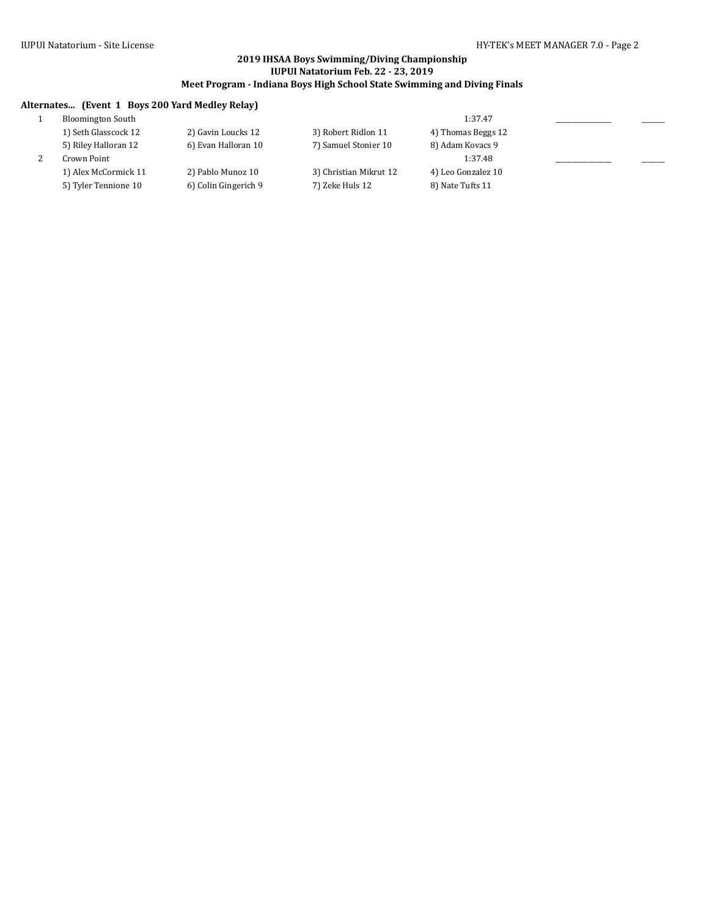# **Alternates... (Event 1 Boys 200 Yard Medley Relay)**

| <b>Bloomington South</b> |                      |                        | 1:37.47            |  |
|--------------------------|----------------------|------------------------|--------------------|--|
| 1) Seth Glasscock 12     | 2) Gavin Loucks 12   | 3) Robert Ridlon 11    | 4) Thomas Beggs 12 |  |
| 5) Riley Halloran 12     | 6) Evan Halloran 10  | 7) Samuel Stonier 10   | 8) Adam Kovacs 9   |  |
| Crown Point              |                      |                        | 1:37.48            |  |
| 1) Alex McCormick 11     | 2) Pablo Munoz 10    | 3) Christian Mikrut 12 | 4) Leo Gonzalez 10 |  |
| 5) Tyler Tennione 10     | 6) Colin Gingerich 9 | 7) Zeke Huls 12        | 8) Nate Tufts 11   |  |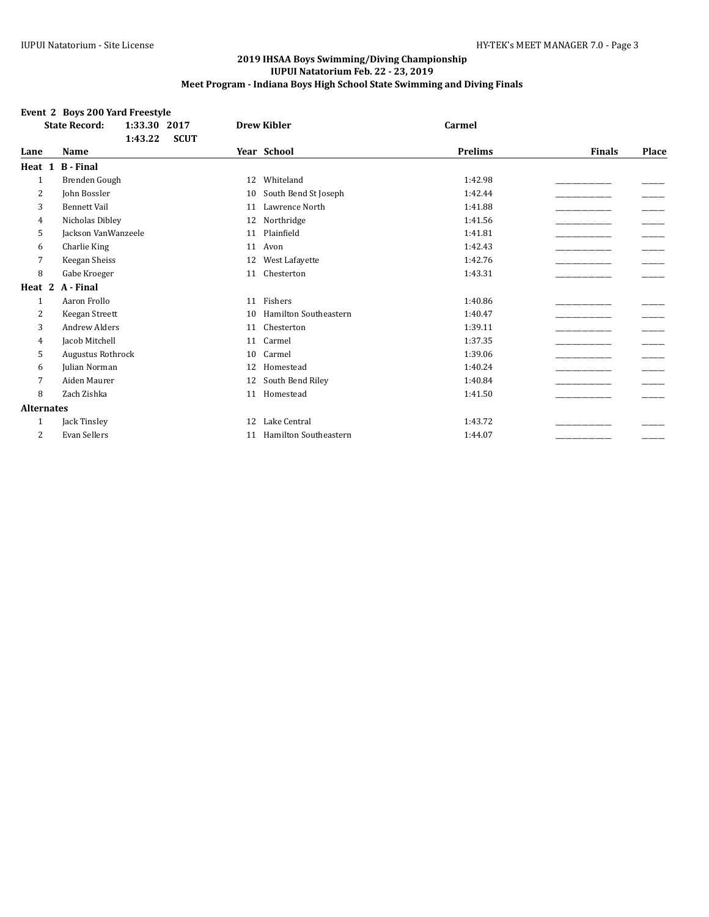# **Event 2 Boys 200 Yard Freestyle**

|                   | 1:33.30<br><b>State Record:</b><br>2017 | <b>Drew Kibler</b>                 | <b>Carmel</b>  |                        |
|-------------------|-----------------------------------------|------------------------------------|----------------|------------------------|
|                   | <b>SCUT</b><br>1:43.22                  |                                    |                |                        |
| Lane              | Name                                    | Year School                        | <b>Prelims</b> | <b>Finals</b><br>Place |
| Heat 1            | <b>B</b> - Final                        |                                    |                |                        |
| $\mathbf{1}$      | Brenden Gough                           | Whiteland<br>12                    | 1:42.98        |                        |
| 2                 | John Bossler                            | South Bend St Joseph<br>10         | 1:42.44        |                        |
| 3                 | <b>Bennett Vail</b>                     | Lawrence North<br>11               | 1:41.88        |                        |
| 4                 | Nicholas Dibley                         | Northridge<br>12                   | 1:41.56        |                        |
| 5                 | Jackson VanWanzeele                     | Plainfield<br>11                   | 1:41.81        |                        |
| 6                 | Charlie King                            | Avon<br>11                         | 1:42.43        |                        |
| 7                 | Keegan Sheiss                           | West Lafayette<br>12               | 1:42.76        |                        |
| 8                 | Gabe Kroeger                            | Chesterton<br>11                   | 1:43.31        |                        |
| Heat 2            | A - Final                               |                                    |                |                        |
| 1                 | Aaron Frollo                            | Fishers<br>11                      | 1:40.86        |                        |
| 2                 | Keegan Streett                          | <b>Hamilton Southeastern</b><br>10 | 1:40.47        |                        |
| 3                 | <b>Andrew Alders</b>                    | Chesterton<br>11                   | 1:39.11        |                        |
| 4                 | Jacob Mitchell                          | Carmel<br>11                       | 1:37.35        |                        |
| 5                 | <b>Augustus Rothrock</b>                | Carmel<br>10                       | 1:39.06        |                        |
| 6                 | Julian Norman                           | Homestead<br>12                    | 1:40.24        |                        |
| 7                 | Aiden Maurer                            | South Bend Riley<br>12             | 1:40.84        |                        |
| 8                 | Zach Zishka                             | Homestead<br>11                    | 1:41.50        |                        |
| <b>Alternates</b> |                                         |                                    |                |                        |
| 1                 | Jack Tinsley                            | Lake Central<br>12                 | 1:43.72        |                        |
| 2                 | Evan Sellers                            | <b>Hamilton Southeastern</b><br>11 | 1:44.07        |                        |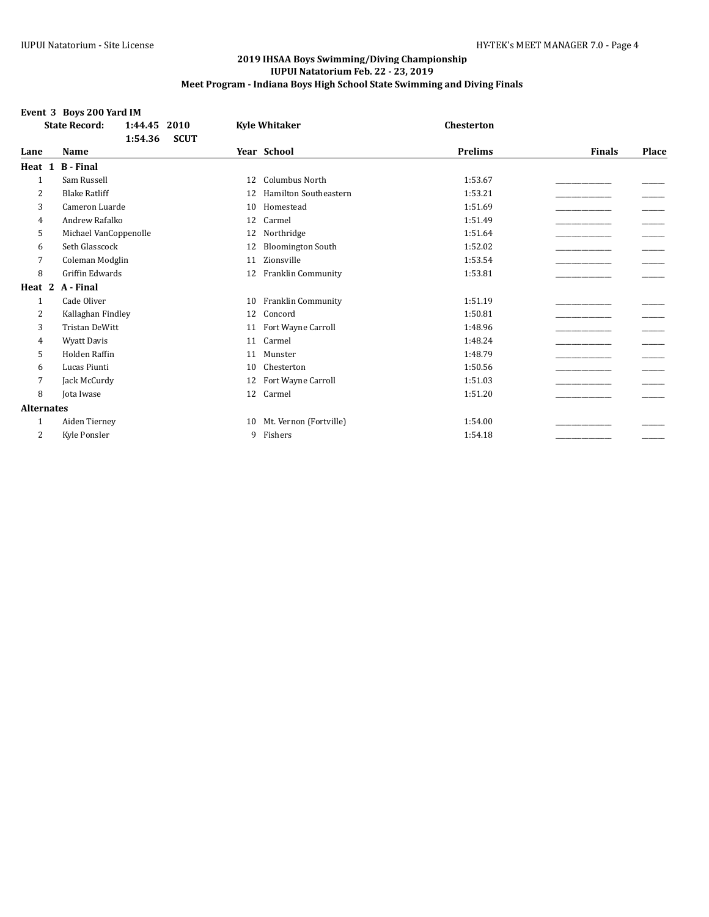# **Event 3 Boys 200 Yard IM**

|                   | <b>State Record:</b><br>1:44.45<br>2010 | <b>Kyle Whitaker</b>               | Chesterton     |                        |
|-------------------|-----------------------------------------|------------------------------------|----------------|------------------------|
|                   | 1:54.36<br><b>SCUT</b>                  |                                    |                |                        |
| Lane              | <b>Name</b>                             | Year School                        | <b>Prelims</b> | <b>Finals</b><br>Place |
| Heat 1            | <b>B</b> - Final                        |                                    |                |                        |
| $\mathbf{1}$      | Sam Russell                             | <b>Columbus North</b><br>12        | 1:53.67        |                        |
| 2                 | <b>Blake Ratliff</b>                    | <b>Hamilton Southeastern</b><br>12 | 1:53.21        |                        |
| 3                 | Cameron Luarde                          | Homestead<br>10                    | 1:51.69        |                        |
| 4                 | Andrew Rafalko                          | Carmel<br>12                       | 1:51.49        |                        |
| 5                 | Michael VanCoppenolle                   | Northridge<br>12                   | 1:51.64        |                        |
| 6                 | Seth Glasscock                          | <b>Bloomington South</b><br>12     | 1:52.02        |                        |
| 7                 | Coleman Modglin                         | Zionsville<br>11                   | 1:53.54        |                        |
| 8                 | <b>Griffin Edwards</b>                  | Franklin Community<br>12           | 1:53.81        |                        |
| Heat 2            | A - Final                               |                                    |                |                        |
| 1                 | Cade Oliver                             | Franklin Community<br>10           | 1:51.19        |                        |
| 2                 | Kallaghan Findley                       | Concord<br>12                      | 1:50.81        |                        |
| 3                 | <b>Tristan DeWitt</b>                   | Fort Wayne Carroll<br>11           | 1:48.96        |                        |
| 4                 | <b>Wyatt Davis</b>                      | Carmel<br>11                       | 1:48.24        |                        |
| 5                 | Holden Raffin                           | Munster<br>11                      | 1:48.79        |                        |
| 6                 | Lucas Piunti                            | Chesterton<br>10                   | 1:50.56        |                        |
| 7                 | Jack McCurdy                            | Fort Wayne Carroll<br>12           | 1:51.03        |                        |
| 8                 | Jota Iwase                              | Carmel<br>12                       | 1:51.20        |                        |
| <b>Alternates</b> |                                         |                                    |                |                        |
| 1                 | Aiden Tierney                           | Mt. Vernon (Fortville)<br>10       | 1:54.00        |                        |
| 2                 | Kyle Ponsler                            | Fishers<br>9                       | 1:54.18        |                        |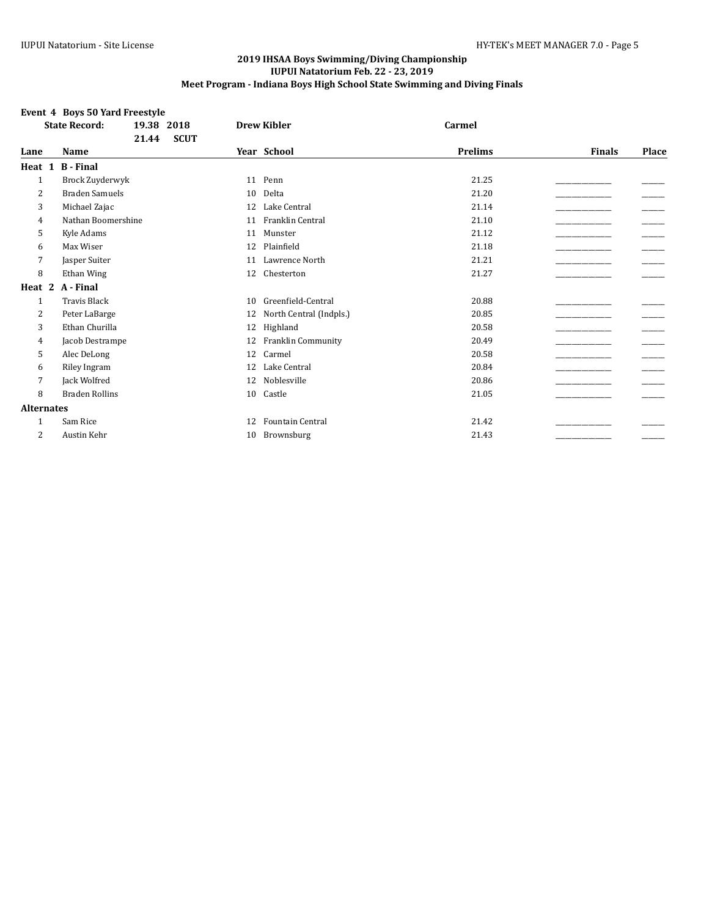# **Event 4 Boys 50 Yard Freestyle**

|                   | 19.38 2018<br><b>State Record:</b> |             | <b>Drew Kibler</b>      | Carmel         |               |       |
|-------------------|------------------------------------|-------------|-------------------------|----------------|---------------|-------|
|                   | 21.44                              | <b>SCUT</b> |                         |                |               |       |
| Lane              | Name                               |             | Year School             | <b>Prelims</b> | <b>Finals</b> | Place |
| Heat 1            | <b>B</b> - Final                   |             |                         |                |               |       |
| $\mathbf{1}$      | Brock Zuyderwyk                    | 11          | Penn                    | 21.25          |               |       |
| 2                 | <b>Braden Samuels</b>              | 10          | Delta                   | 21.20          |               |       |
| 3                 | Michael Zajac                      | 12          | Lake Central            | 21.14          |               |       |
| 4                 | Nathan Boomershine                 | 11          | Franklin Central        | 21.10          |               |       |
| 5                 | Kyle Adams                         | 11          | Munster                 | 21.12          |               |       |
| 6                 | Max Wiser                          | 12          | Plainfield              | 21.18          |               |       |
| 7                 | Jasper Suiter                      | 11          | Lawrence North          | 21.21          |               |       |
| 8                 | Ethan Wing                         | 12          | Chesterton              | 21.27          |               |       |
| Heat 2            | A - Final                          |             |                         |                |               |       |
| $\mathbf{1}$      | <b>Travis Black</b>                | 10          | Greenfield-Central      | 20.88          |               |       |
| 2                 | Peter LaBarge                      | 12          | North Central (Indpls.) | 20.85          |               |       |
| 3                 | Ethan Churilla                     | 12          | Highland                | 20.58          |               |       |
| 4                 | Jacob Destrampe                    | 12          | Franklin Community      | 20.49          |               |       |
| 5                 | Alec DeLong                        | 12          | Carmel                  | 20.58          |               |       |
| 6                 | Riley Ingram                       | 12          | Lake Central            | 20.84          |               |       |
| 7                 | Jack Wolfred                       | 12          | Noblesville             | 20.86          |               |       |
| 8                 | <b>Braden Rollins</b>              | 10          | Castle                  | 21.05          |               |       |
| <b>Alternates</b> |                                    |             |                         |                |               |       |
| 1                 | Sam Rice                           | 12          | <b>Fountain Central</b> | 21.42          |               |       |
| 2                 | Austin Kehr                        | 10          | Brownsburg              | 21.43          |               |       |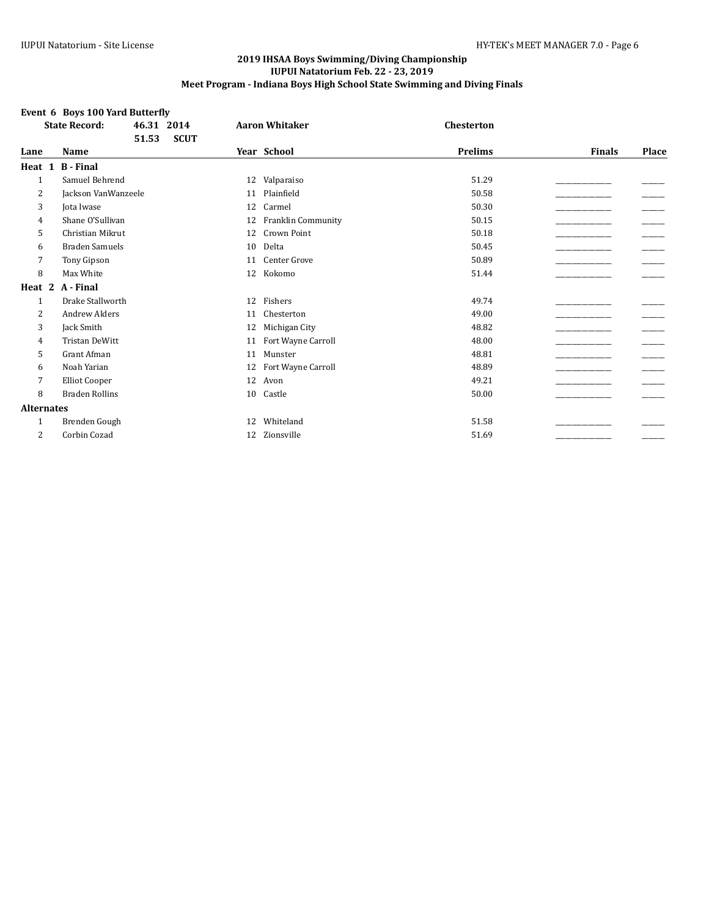# **Event 6 Boys 100 Yard Butterfly**

|                   | <b>State Record:</b>  | 46.31 2014 |             |    | <b>Aaron Whitaker</b> | <b>Chesterton</b> |               |       |
|-------------------|-----------------------|------------|-------------|----|-----------------------|-------------------|---------------|-------|
|                   |                       | 51.53      | <b>SCUT</b> |    |                       |                   |               |       |
| Lane              | Name                  |            |             |    | Year School           | <b>Prelims</b>    | <b>Finals</b> | Place |
| Heat 1            | <b>B</b> - Final      |            |             |    |                       |                   |               |       |
| $\mathbf{1}$      | Samuel Behrend        |            |             | 12 | Valparaiso            | 51.29             |               |       |
| 2                 | Jackson VanWanzeele   |            |             | 11 | Plainfield            | 50.58             |               |       |
| 3                 | Jota Iwase            |            |             | 12 | Carmel                | 50.30             |               |       |
| 4                 | Shane O'Sullivan      |            |             | 12 | Franklin Community    | 50.15             |               |       |
| 5                 | Christian Mikrut      |            |             | 12 | Crown Point           | 50.18             |               |       |
| 6                 | <b>Braden Samuels</b> |            |             | 10 | Delta                 | 50.45             |               |       |
| 7                 | Tony Gipson           |            |             | 11 | Center Grove          | 50.89             |               |       |
| 8                 | Max White             |            |             | 12 | Kokomo                | 51.44             |               |       |
| Heat 2            | A - Final             |            |             |    |                       |                   |               |       |
| $\mathbf{1}$      | Drake Stallworth      |            |             | 12 | Fishers               | 49.74             |               |       |
| 2                 | <b>Andrew Alders</b>  |            |             | 11 | Chesterton            | 49.00             |               |       |
| 3                 | Jack Smith            |            |             | 12 | Michigan City         | 48.82             |               |       |
| 4                 | <b>Tristan DeWitt</b> |            |             | 11 | Fort Wayne Carroll    | 48.00             |               |       |
| 5                 | Grant Afman           |            |             | 11 | Munster               | 48.81             |               |       |
| 6                 | Noah Yarian           |            |             | 12 | Fort Wayne Carroll    | 48.89             |               |       |
| 7                 | <b>Elliot Cooper</b>  |            |             | 12 | Avon                  | 49.21             |               |       |
| 8                 | <b>Braden Rollins</b> |            |             | 10 | Castle                | 50.00             |               |       |
| <b>Alternates</b> |                       |            |             |    |                       |                   |               |       |
| $\mathbf{1}$      | Brenden Gough         |            |             | 12 | Whiteland             | 51.58             |               |       |
| 2                 | Corbin Cozad          |            |             | 12 | Zionsville            | 51.69             |               |       |
|                   |                       |            |             |    |                       |                   |               |       |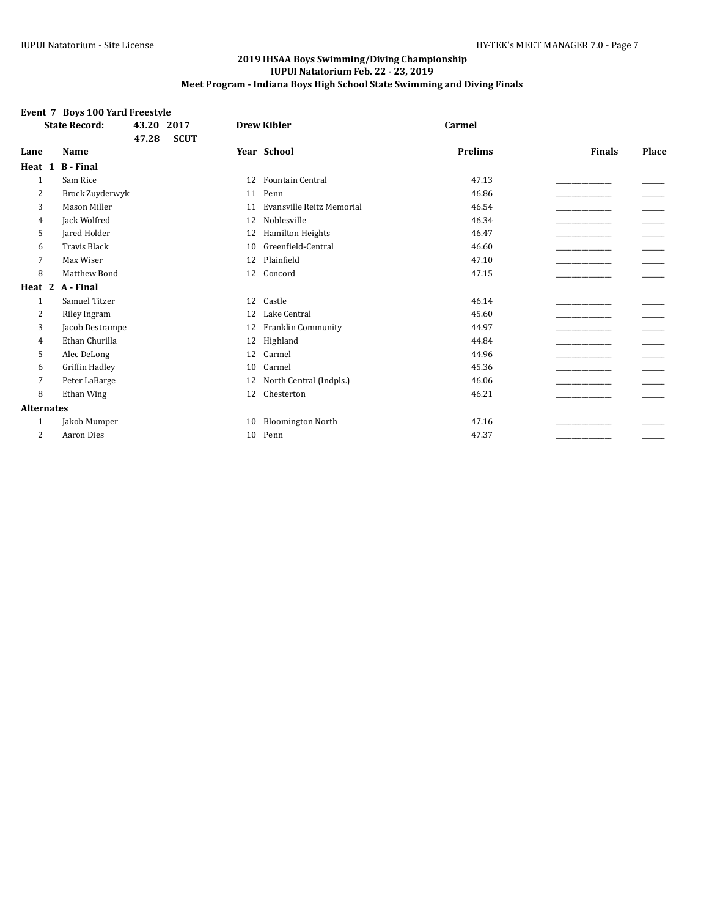# **Event 7 Boys 100 Yard Freestyle**

|                   | <b>State Record:</b> | 43.20<br>2017<br><b>SCUT</b><br>47.28 |    | <b>Drew Kibler</b>        | Carmel         |               |              |
|-------------------|----------------------|---------------------------------------|----|---------------------------|----------------|---------------|--------------|
| Lane              | Name                 |                                       |    | Year School               | <b>Prelims</b> | <b>Finals</b> | <b>Place</b> |
| Heat 1            | <b>B</b> - Final     |                                       |    |                           |                |               |              |
| $\mathbf{1}$      | Sam Rice             |                                       | 12 | <b>Fountain Central</b>   | 47.13          |               |              |
| 2                 | Brock Zuyderwyk      |                                       | 11 | Penn                      | 46.86          |               |              |
| 3                 | Mason Miller         |                                       | 11 | Evansville Reitz Memorial | 46.54          |               |              |
| 4                 | Jack Wolfred         |                                       | 12 | Noblesville               | 46.34          |               |              |
| 5                 | Jared Holder         |                                       | 12 | <b>Hamilton Heights</b>   | 46.47          |               |              |
| 6                 | <b>Travis Black</b>  |                                       | 10 | Greenfield-Central        | 46.60          |               |              |
| 7                 | Max Wiser            |                                       | 12 | Plainfield                | 47.10          |               |              |
| 8                 | Matthew Bond         |                                       | 12 | Concord                   | 47.15          |               |              |
| Heat 2            | A - Final            |                                       |    |                           |                |               |              |
| 1                 | Samuel Titzer        |                                       | 12 | Castle                    | 46.14          |               |              |
| 2                 | Riley Ingram         |                                       | 12 | Lake Central              | 45.60          |               |              |
| 3                 | Jacob Destrampe      |                                       | 12 | Franklin Community        | 44.97          |               |              |
| 4                 | Ethan Churilla       |                                       | 12 | Highland                  | 44.84          |               |              |
| 5                 | Alec DeLong          |                                       | 12 | Carmel                    | 44.96          |               |              |
| 6                 | Griffin Hadley       |                                       | 10 | Carmel                    | 45.36          |               |              |
| 7                 | Peter LaBarge        |                                       | 12 | North Central (Indpls.)   | 46.06          |               |              |
| 8                 | Ethan Wing           |                                       | 12 | Chesterton                | 46.21          |               |              |
| <b>Alternates</b> |                      |                                       |    |                           |                |               |              |
| 1                 | Jakob Mumper         |                                       | 10 | <b>Bloomington North</b>  | 47.16          |               |              |
| 2                 | <b>Aaron Dies</b>    |                                       | 10 | Penn                      | 47.37          |               |              |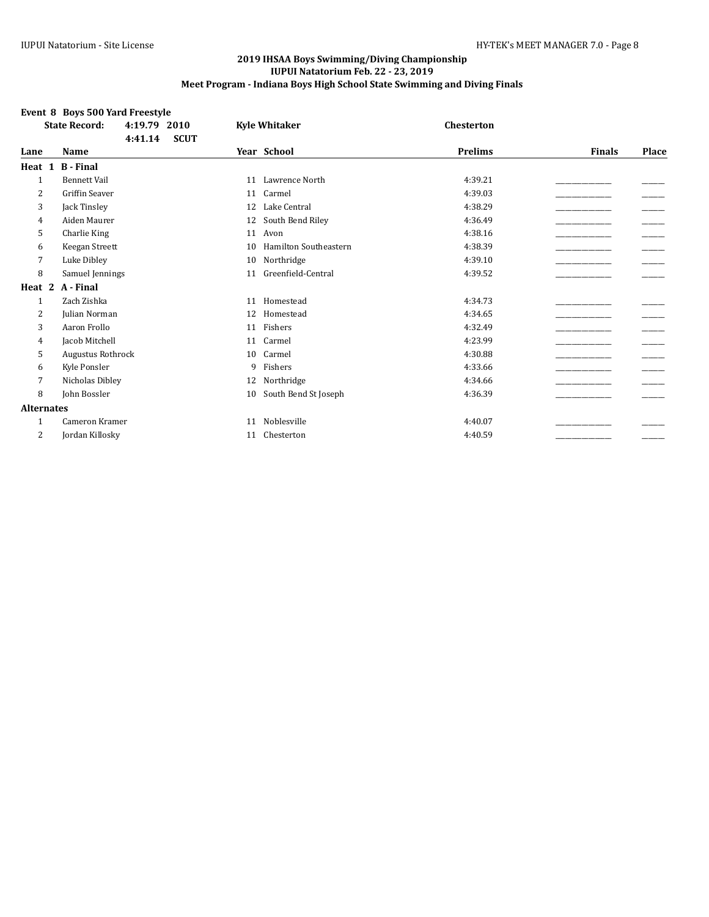# **Event 8 Boys 500 Yard Freestyle**

|                   | <b>State Record:</b><br>4:19.79<br>2010 | <b>Kyle Whitaker</b>               | Chesterton |                        |
|-------------------|-----------------------------------------|------------------------------------|------------|------------------------|
|                   | 4:41.14<br><b>SCUT</b>                  |                                    |            |                        |
| Lane              | <b>Name</b>                             | Year School                        | Prelims    | <b>Finals</b><br>Place |
| Heat 1            | <b>B</b> - Final                        |                                    |            |                        |
| $\mathbf{1}$      | <b>Bennett Vail</b>                     | Lawrence North<br>11               | 4:39.21    |                        |
| 2                 | <b>Griffin Seaver</b>                   | Carmel<br>11                       | 4:39.03    |                        |
| 3                 | Jack Tinsley                            | Lake Central<br>12                 | 4:38.29    |                        |
| 4                 | Aiden Maurer                            | South Bend Riley<br>12             | 4:36.49    |                        |
| 5                 | Charlie King                            | Avon<br>11                         | 4:38.16    |                        |
| 6                 | Keegan Streett                          | <b>Hamilton Southeastern</b><br>10 | 4:38.39    |                        |
| 7                 | Luke Dibley                             | Northridge<br>10                   | 4:39.10    |                        |
| 8                 | Samuel Jennings                         | Greenfield-Central<br>11           | 4:39.52    |                        |
| Heat 2            | A - Final                               |                                    |            |                        |
| $\mathbf{1}$      | Zach Zishka                             | Homestead<br>11                    | 4:34.73    |                        |
| 2                 | Julian Norman                           | Homestead<br>12                    | 4:34.65    |                        |
| 3                 | Aaron Frollo                            | Fishers<br>11                      | 4:32.49    |                        |
| 4                 | Jacob Mitchell                          | Carmel<br>11                       | 4:23.99    |                        |
| 5                 | <b>Augustus Rothrock</b>                | Carmel<br>10                       | 4:30.88    |                        |
| 6                 | Kyle Ponsler                            | Fishers<br>9                       | 4:33.66    |                        |
| 7                 | Nicholas Dibley                         | Northridge<br>12                   | 4:34.66    |                        |
| 8                 | John Bossler                            | South Bend St Joseph<br>10         | 4:36.39    |                        |
| <b>Alternates</b> |                                         |                                    |            |                        |
| $\mathbf{1}$      | Cameron Kramer                          | Noblesville<br>11                  | 4:40.07    |                        |
| 2                 | Jordan Killosky                         | Chesterton<br>11                   | 4:40.59    |                        |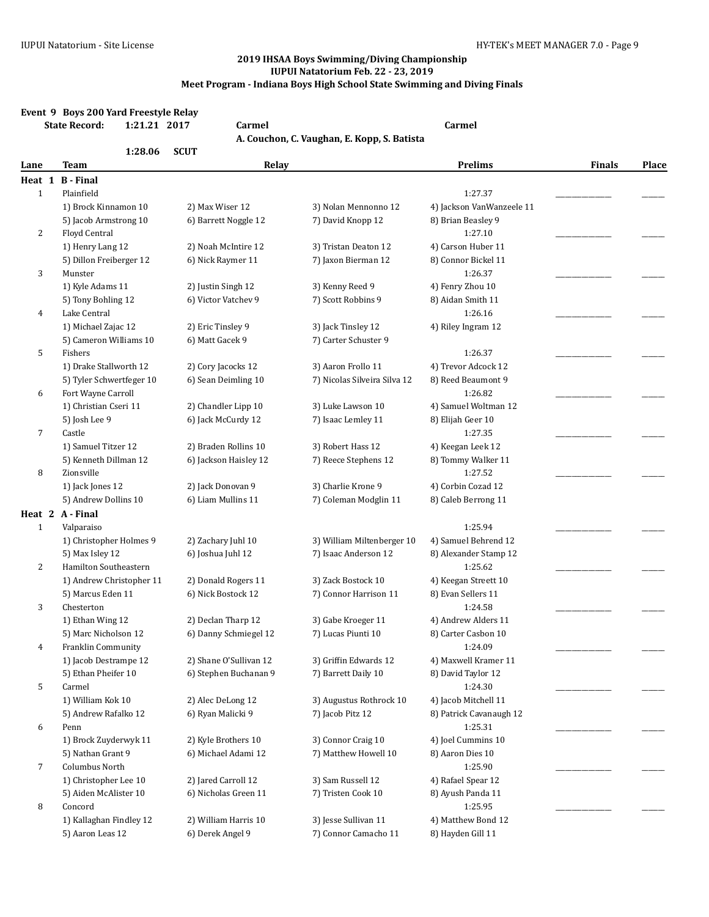|              | Event 9 Boys 200 Yard Freestyle Relay<br><b>State Record:</b><br>1:21.21 2017 | <b>Carmel</b>          | A. Couchon, C. Vaughan, E. Kopp, S. Batista | <b>Carmel</b>                  |               |       |
|--------------|-------------------------------------------------------------------------------|------------------------|---------------------------------------------|--------------------------------|---------------|-------|
|              | 1:28.06                                                                       | <b>SCUT</b>            |                                             |                                |               |       |
| Lane         | Team                                                                          | Relay                  |                                             | <b>Prelims</b>                 | <b>Finals</b> | Place |
| Heat 1       | <b>B</b> - Final                                                              |                        |                                             |                                |               |       |
| $\mathbf{1}$ | Plainfield                                                                    |                        |                                             | 1:27.37                        |               |       |
|              | 1) Brock Kinnamon 10                                                          | 2) Max Wiser 12        | 3) Nolan Mennonno 12                        | 4) Jackson VanWanzeele 11      |               |       |
|              | 5) Jacob Armstrong 10                                                         | 6) Barrett Noggle 12   | 7) David Knopp 12                           | 8) Brian Beasley 9             |               |       |
| 2            | Floyd Central                                                                 |                        |                                             | 1:27.10                        |               |       |
|              | 1) Henry Lang 12                                                              | 2) Noah McIntire 12    | 3) Tristan Deaton 12                        | 4) Carson Huber 11             |               |       |
|              | 5) Dillon Freiberger 12                                                       | 6) Nick Raymer 11      | 7) Jaxon Bierman 12                         | 8) Connor Bickel 11            |               |       |
| 3            | Munster                                                                       |                        |                                             | 1:26.37                        |               |       |
|              | 1) Kyle Adams 11                                                              | 2) Justin Singh 12     | 3) Kenny Reed 9                             | 4) Fenry Zhou 10               |               |       |
|              | 5) Tony Bohling 12                                                            | 6) Victor Vatchev 9    | 7) Scott Robbins 9                          | 8) Aidan Smith 11              |               |       |
| 4            | Lake Central                                                                  |                        |                                             | 1:26.16                        |               |       |
|              | 1) Michael Zajac 12                                                           | 2) Eric Tinsley 9      | 3) Jack Tinsley 12                          | 4) Riley Ingram 12             |               |       |
|              | 5) Cameron Williams 10                                                        | 6) Matt Gacek 9        | 7) Carter Schuster 9                        |                                |               |       |
| 5            | Fishers<br>1) Drake Stallworth 12                                             | 2) Cory Jacocks 12     | 3) Aaron Frollo 11                          | 1:26.37<br>4) Trevor Adcock 12 |               |       |
|              | 5) Tyler Schwertfeger 10                                                      | 6) Sean Deimling 10    | 7) Nicolas Silveira Silva 12                | 8) Reed Beaumont 9             |               |       |
| 6            | Fort Wayne Carroll                                                            |                        |                                             | 1:26.82                        |               |       |
|              | 1) Christian Cseri 11                                                         | 2) Chandler Lipp 10    | 3) Luke Lawson 10                           | 4) Samuel Woltman 12           |               |       |
|              | 5) Josh Lee 9                                                                 | 6) Jack McCurdy 12     | 7) Isaac Lemley 11                          | 8) Elijah Geer 10              |               |       |
| 7            | Castle                                                                        |                        |                                             | 1:27.35                        |               |       |
|              | 1) Samuel Titzer 12                                                           | 2) Braden Rollins 10   | 3) Robert Hass 12                           | 4) Keegan Leek 12              |               |       |
|              | 5) Kenneth Dillman 12                                                         | 6) Jackson Haisley 12  | 7) Reece Stephens 12                        | 8) Tommy Walker 11             |               |       |
| 8            | Zionsville                                                                    |                        |                                             | 1:27.52                        |               |       |
|              | 1) Jack Jones 12                                                              | 2) Jack Donovan 9      | 3) Charlie Krone 9                          | 4) Corbin Cozad 12             |               |       |
|              | 5) Andrew Dollins 10                                                          | 6) Liam Mullins 11     | 7) Coleman Modglin 11                       | 8) Caleb Berrong 11            |               |       |
|              | Heat 2 A - Final                                                              |                        |                                             |                                |               |       |
| $\mathbf{1}$ | Valparaiso                                                                    |                        |                                             | 1:25.94                        |               |       |
|              | 1) Christopher Holmes 9                                                       | 2) Zachary Juhl 10     | 3) William Miltenberger 10                  | 4) Samuel Behrend 12           |               |       |
|              | 5) Max Isley 12                                                               | 6) Joshua Juhl 12      | 7) Isaac Anderson 12                        | 8) Alexander Stamp 12          |               |       |
| 2            | Hamilton Southeastern                                                         |                        |                                             | 1:25.62                        |               |       |
|              | 1) Andrew Christopher 11                                                      | 2) Donald Rogers 11    | 3) Zack Bostock 10                          | 4) Keegan Streett 10           |               |       |
|              | 5) Marcus Eden 11                                                             | 6) Nick Bostock 12     | 7) Connor Harrison 11                       | 8) Evan Sellers 11             |               |       |
| 3            | Chesterton                                                                    |                        |                                             | 1:24.58                        |               |       |
|              | 1) Ethan Wing 12                                                              | 2) Declan Tharp 12     | 3) Gabe Kroeger 11                          | 4) Andrew Alders 11            |               |       |
|              | 5) Marc Nicholson 12                                                          | 6) Danny Schmiegel 12  | 7) Lucas Piunti 10                          | 8) Carter Casbon 10            |               |       |
| 4            | Franklin Community                                                            |                        |                                             | 1:24.09                        |               |       |
|              | 1) Jacob Destrampe 12                                                         | 2) Shane O'Sullivan 12 | 3) Griffin Edwards 12                       | 4) Maxwell Kramer 11           |               |       |
|              | 5) Ethan Pheifer 10                                                           | 6) Stephen Buchanan 9  | 7) Barrett Daily 10                         | 8) David Taylor 12             |               |       |
| 5            | Carmel                                                                        |                        |                                             | 1:24.30                        |               |       |
|              | 1) William Kok 10                                                             | 2) Alec DeLong 12      | 3) Augustus Rothrock 10                     | 4) Jacob Mitchell 11           |               |       |
|              | 5) Andrew Rafalko 12                                                          | 6) Ryan Malicki 9      | 7) Jacob Pitz 12                            | 8) Patrick Cavanaugh 12        |               |       |
| 6            | Penn                                                                          |                        |                                             | 1:25.31                        |               |       |
|              | 1) Brock Zuyderwyk 11                                                         | 2) Kyle Brothers 10    | 3) Connor Craig 10                          | 4) Joel Cummins 10             |               |       |
|              | 5) Nathan Grant 9                                                             | 6) Michael Adami 12    | 7) Matthew Howell 10                        | 8) Aaron Dies 10               |               |       |
| 7            | Columbus North                                                                |                        |                                             | 1:25.90                        |               |       |
|              | 1) Christopher Lee 10                                                         | 2) Jared Carroll 12    | 3) Sam Russell 12                           | 4) Rafael Spear 12             |               |       |
|              | 5) Aiden McAlister 10                                                         | 6) Nicholas Green 11   | 7) Tristen Cook 10                          | 8) Ayush Panda 11              |               |       |
| 8            | Concord                                                                       |                        |                                             | 1:25.95                        |               |       |
|              | 1) Kallaghan Findley 12                                                       | 2) William Harris 10   | 3) Jesse Sullivan 11                        | 4) Matthew Bond 12             |               |       |
|              | 5) Aaron Leas 12                                                              | 6) Derek Angel 9       | 7) Connor Camacho 11                        | 8) Hayden Gill 11              |               |       |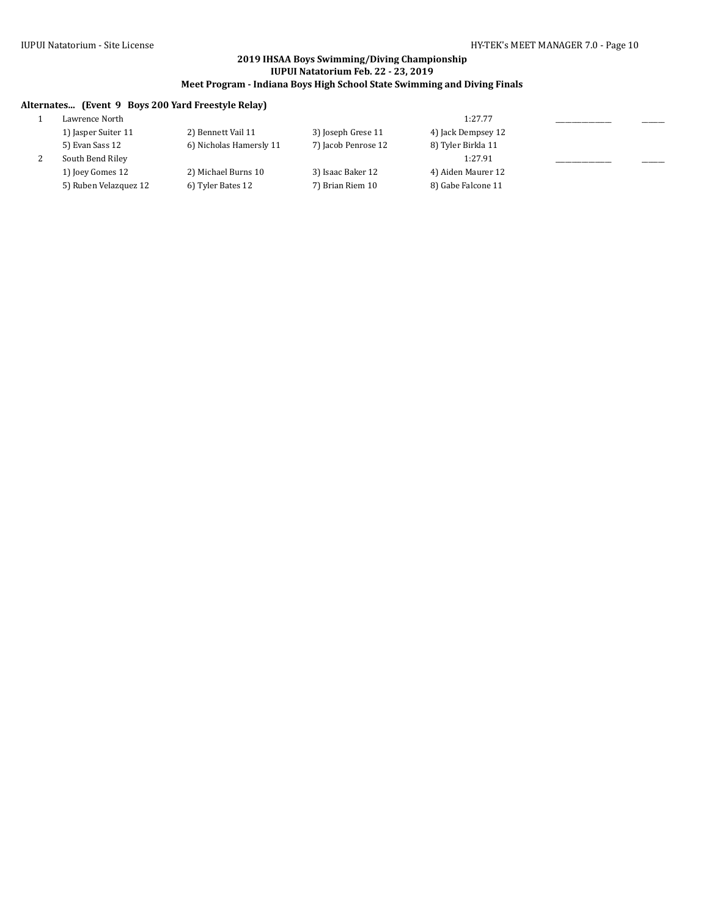# **Alternates... (Event 9 Boys 200 Yard Freestyle Relay)**

| Lawrence North        |                         |                     | 1:27.77            |  |
|-----------------------|-------------------------|---------------------|--------------------|--|
| 1) Jasper Suiter 11   | 2) Bennett Vail 11      | 3) Joseph Grese 11  | 4) Jack Dempsey 12 |  |
| 5) Evan Sass 12       | 6) Nicholas Hamersly 11 | 7) Jacob Penrose 12 | 8) Tyler Birkla 11 |  |
| South Bend Riley      |                         |                     | 1:27.91            |  |
| 1) Joey Gomes 12      | 2) Michael Burns 10     | 3) Isaac Baker 12   | 4) Aiden Maurer 12 |  |
| 5) Ruben Velazquez 12 | 6) Tyler Bates 12       | 7) Brian Riem 10    | 8) Gabe Falcone 11 |  |
|                       |                         |                     |                    |  |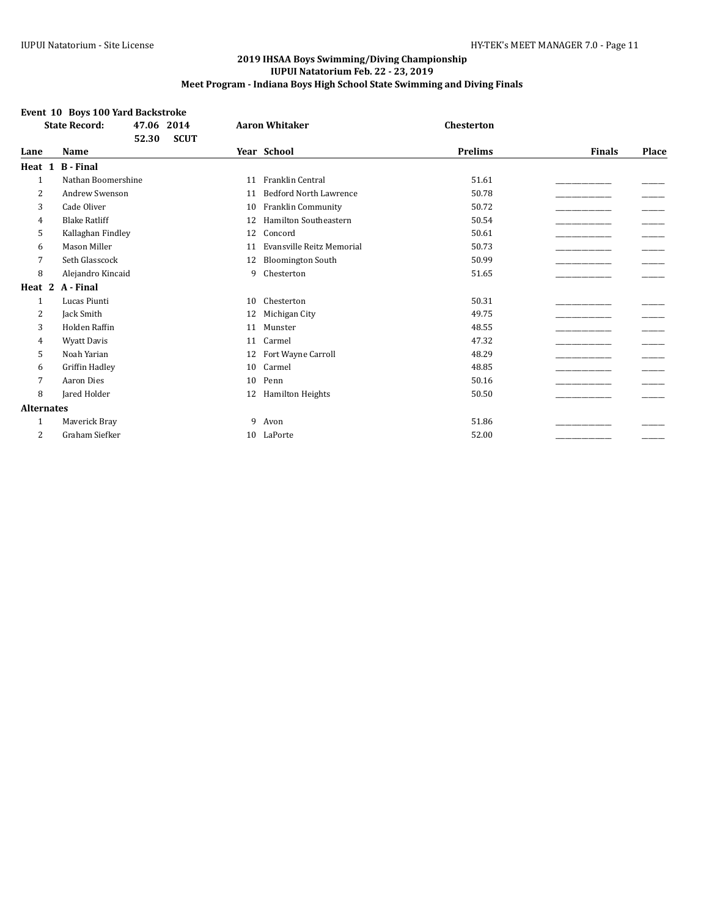# **Event 10 Boys 100 Yard Backstroke**

|                   | <b>State Record:</b><br>47.06 2014 | <b>Aaron Whitaker</b>               | <b>Chesterton</b> |                        |
|-------------------|------------------------------------|-------------------------------------|-------------------|------------------------|
|                   | <b>SCUT</b><br>52.30               |                                     |                   |                        |
| Lane              | <b>Name</b>                        | Year School                         | <b>Prelims</b>    | <b>Finals</b><br>Place |
| Heat 1            | <b>B</b> - Final                   |                                     |                   |                        |
| $\mathbf{1}$      | Nathan Boomershine                 | Franklin Central<br>11              | 51.61             |                        |
| $\overline{2}$    | <b>Andrew Swenson</b>              | <b>Bedford North Lawrence</b><br>11 | 50.78             |                        |
| 3                 | Cade Oliver                        | Franklin Community<br>10            | 50.72             |                        |
| 4                 | <b>Blake Ratliff</b>               | <b>Hamilton Southeastern</b><br>12  | 50.54             |                        |
| 5                 | Kallaghan Findley                  | Concord<br>12                       | 50.61             |                        |
| 6                 | <b>Mason Miller</b>                | Evansville Reitz Memorial<br>11     | 50.73             |                        |
| 7                 | Seth Glasscock                     | <b>Bloomington South</b><br>12      | 50.99             |                        |
| 8                 | Alejandro Kincaid                  | Chesterton<br>9                     | 51.65             |                        |
| Heat 2            | A - Final                          |                                     |                   |                        |
| 1                 | Lucas Piunti                       | Chesterton<br>10                    | 50.31             |                        |
| 2                 | Jack Smith                         | Michigan City<br>12                 | 49.75             |                        |
| 3                 | Holden Raffin                      | Munster<br>11                       | 48.55             |                        |
| 4                 | <b>Wyatt Davis</b>                 | Carmel<br>11                        | 47.32             |                        |
| 5                 | Noah Yarian                        | Fort Wayne Carroll<br>12            | 48.29             |                        |
| 6                 | Griffin Hadley                     | Carmel<br>10                        | 48.85             |                        |
| 7                 | <b>Aaron Dies</b>                  | Penn<br>10                          | 50.16             |                        |
| 8                 | Jared Holder                       | <b>Hamilton Heights</b><br>12       | 50.50             |                        |
| <b>Alternates</b> |                                    |                                     |                   |                        |
| 1                 | Maverick Bray                      | 9<br>Avon                           | 51.86             |                        |
| 2                 | Graham Siefker                     | LaPorte<br>10                       | 52.00             |                        |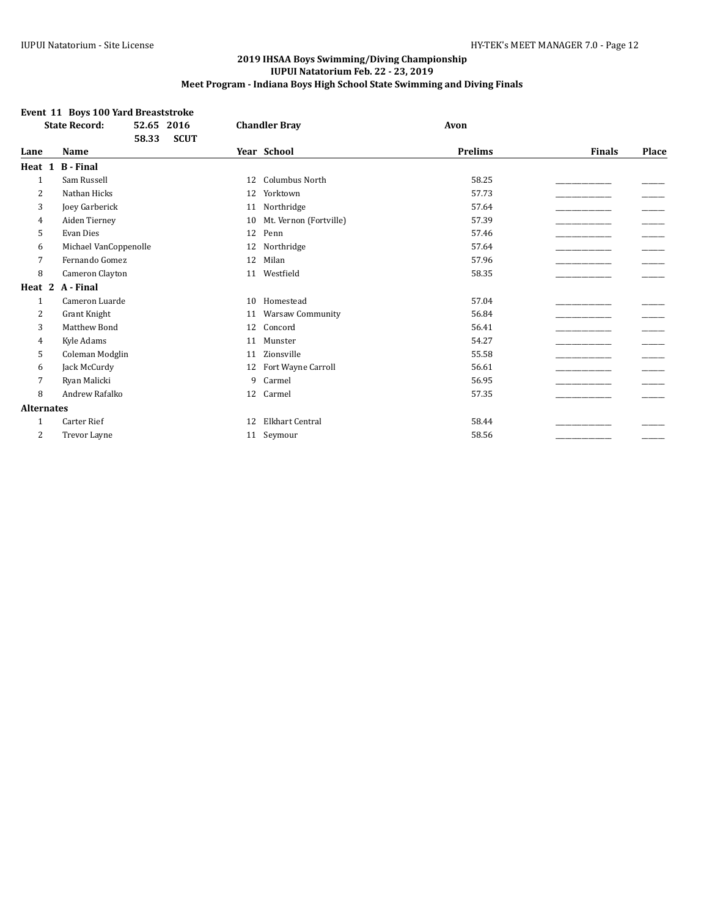# **Event 11 Boys 100 Yard Breaststroke**

|                   | <b>State Record:</b>  | 52.65<br>2016        |    | <b>Chandler Bray</b>    | Avon           |               |       |
|-------------------|-----------------------|----------------------|----|-------------------------|----------------|---------------|-------|
|                   |                       | 58.33<br><b>SCUT</b> |    |                         |                |               |       |
| Lane              | Name                  |                      |    | Year School             | <b>Prelims</b> | <b>Finals</b> | Place |
| Heat 1            | <b>B</b> - Final      |                      |    |                         |                |               |       |
| $\mathbf{1}$      | Sam Russell           |                      | 12 | <b>Columbus North</b>   | 58.25          |               |       |
| 2                 | Nathan Hicks          |                      | 12 | Yorktown                | 57.73          |               |       |
| 3                 | Joey Garberick        |                      | 11 | Northridge              | 57.64          |               |       |
| 4                 | Aiden Tierney         |                      | 10 | Mt. Vernon (Fortville)  | 57.39          |               |       |
| 5                 | Evan Dies             |                      | 12 | Penn                    | 57.46          |               |       |
| 6                 | Michael VanCoppenolle |                      | 12 | Northridge              | 57.64          |               |       |
| 7                 | Fernando Gomez        |                      | 12 | Milan                   | 57.96          |               |       |
| 8                 | Cameron Clayton       |                      | 11 | Westfield               | 58.35          |               |       |
| Heat 2            | A - Final             |                      |    |                         |                |               |       |
| $\mathbf{1}$      | Cameron Luarde        |                      | 10 | Homestead               | 57.04          |               |       |
| 2                 | Grant Knight          |                      | 11 | <b>Warsaw Community</b> | 56.84          |               |       |
| 3                 | Matthew Bond          |                      | 12 | Concord                 | 56.41          |               |       |
| 4                 | Kyle Adams            |                      | 11 | Munster                 | 54.27          |               |       |
| 5                 | Coleman Modglin       |                      | 11 | Zionsville              | 55.58          |               |       |
| 6                 | Jack McCurdy          |                      | 12 | Fort Wayne Carroll      | 56.61          |               |       |
| 7                 | Ryan Malicki          |                      | 9  | Carmel                  | 56.95          |               |       |
| 8                 | Andrew Rafalko        |                      | 12 | Carmel                  | 57.35          |               |       |
| <b>Alternates</b> |                       |                      |    |                         |                |               |       |
| 1                 | <b>Carter Rief</b>    |                      | 12 | <b>Elkhart Central</b>  | 58.44          |               |       |
| 2                 | Trevor Layne          |                      | 11 | Seymour                 | 58.56          |               |       |
|                   |                       |                      |    |                         |                |               |       |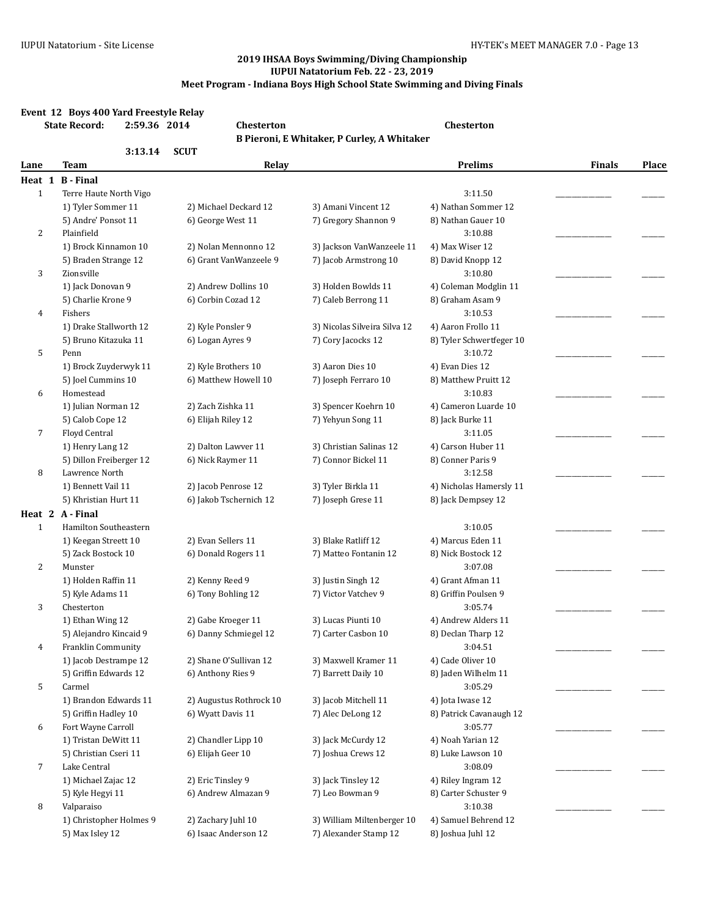# **Event 12 Boys 400 Yard Freestyle Relay**

|                | <b>State Record:</b><br>2:59.36 2014       | Chesterton                                 |                                                     | Chesterton                                |               |       |
|----------------|--------------------------------------------|--------------------------------------------|-----------------------------------------------------|-------------------------------------------|---------------|-------|
|                |                                            |                                            | B Pieroni, E Whitaker, P Curley, A Whitaker         |                                           |               |       |
|                | 3:13.14                                    | <b>SCUT</b>                                |                                                     |                                           |               |       |
| Lane           | <b>Team</b>                                | Relay                                      |                                                     | <b>Prelims</b>                            | <b>Finals</b> | Place |
|                | Heat 1 B - Final                           |                                            |                                                     |                                           |               |       |
| $\mathbf{1}$   | Terre Haute North Vigo                     |                                            |                                                     | 3:11.50                                   |               |       |
|                | 1) Tyler Sommer 11<br>5) Andre' Ponsot 11  | 2) Michael Deckard 12<br>6) George West 11 | 3) Amani Vincent 12<br>7) Gregory Shannon 9         | 4) Nathan Sommer 12<br>8) Nathan Gauer 10 |               |       |
| $\overline{c}$ | Plainfield                                 |                                            |                                                     | 3:10.88                                   |               |       |
|                | 1) Brock Kinnamon 10                       | 2) Nolan Mennonno 12                       | 3) Jackson VanWanzeele 11                           | 4) Max Wiser 12                           |               |       |
|                | 5) Braden Strange 12                       | 6) Grant VanWanzeele 9                     | 7) Jacob Armstrong 10                               | 8) David Knopp 12                         |               |       |
| 3              | Zionsville                                 |                                            |                                                     | 3:10.80                                   |               |       |
|                | 1) Jack Donovan 9                          | 2) Andrew Dollins 10                       | 3) Holden Bowlds 11                                 | 4) Coleman Modglin 11                     |               |       |
|                | 5) Charlie Krone 9                         | 6) Corbin Cozad 12                         | 7) Caleb Berrong 11                                 | 8) Graham Asam 9                          |               |       |
| 4              | Fishers                                    |                                            |                                                     | 3:10.53                                   |               |       |
|                | 1) Drake Stallworth 12                     | 2) Kyle Ponsler 9                          | 3) Nicolas Silveira Silva 12                        | 4) Aaron Frollo 11                        |               |       |
|                | 5) Bruno Kitazuka 11                       | 6) Logan Ayres 9                           | 7) Cory Jacocks 12                                  | 8) Tyler Schwertfeger 10                  |               |       |
| 5              | Penn                                       |                                            |                                                     | 3:10.72                                   |               |       |
|                | 1) Brock Zuyderwyk 11                      | 2) Kyle Brothers 10                        | 3) Aaron Dies 10                                    | 4) Evan Dies 12                           |               |       |
|                | 5) Joel Cummins 10                         | 6) Matthew Howell 10                       | 7) Joseph Ferraro 10                                | 8) Matthew Pruitt 12                      |               |       |
| 6              | Homestead                                  |                                            |                                                     | 3:10.83                                   |               |       |
|                | 1) Julian Norman 12                        | 2) Zach Zishka 11                          | 3) Spencer Koehrn 10                                | 4) Cameron Luarde 10                      |               |       |
|                | 5) Calob Cope 12                           | 6) Elijah Riley 12                         | 7) Yehyun Song 11                                   | 8) Jack Burke 11                          |               |       |
| 7              | Floyd Central                              |                                            |                                                     | 3:11.05                                   |               |       |
|                | 1) Henry Lang 12                           | 2) Dalton Lawver 11                        | 3) Christian Salinas 12                             | 4) Carson Huber 11                        |               |       |
|                | 5) Dillon Freiberger 12                    | 6) Nick Raymer 11                          | 7) Connor Bickel 11                                 | 8) Conner Paris 9                         |               |       |
| 8              | Lawrence North                             |                                            |                                                     | 3:12.58                                   |               |       |
|                | 1) Bennett Vail 11                         | 2) Jacob Penrose 12                        | 3) Tyler Birkla 11                                  | 4) Nicholas Hamersly 11                   |               |       |
|                | 5) Khristian Hurt 11                       | 6) Jakob Tschernich 12                     | 7) Joseph Grese 11                                  | 8) Jack Dempsey 12                        |               |       |
|                | Heat 2 A - Final                           |                                            |                                                     |                                           |               |       |
| $\mathbf{1}$   | Hamilton Southeastern                      |                                            |                                                     | 3:10.05                                   |               |       |
|                | 1) Keegan Streett 10<br>5) Zack Bostock 10 | 2) Evan Sellers 11<br>6) Donald Rogers 11  | 3) Blake Ratliff 12                                 | 4) Marcus Eden 11<br>8) Nick Bostock 12   |               |       |
| 2              | Munster                                    |                                            | 7) Matteo Fontanin 12                               | 3:07.08                                   |               |       |
|                | 1) Holden Raffin 11                        | 2) Kenny Reed 9                            | 3) Justin Singh 12                                  | 4) Grant Afman 11                         |               |       |
|                | 5) Kyle Adams 11                           | 6) Tony Bohling 12                         | 7) Victor Vatchev 9                                 | 8) Griffin Poulsen 9                      |               |       |
| 3              | Chesterton                                 |                                            |                                                     | 3:05.74                                   |               |       |
|                | 1) Ethan Wing 12                           | 2) Gabe Kroeger 11                         | 3) Lucas Piunti 10                                  | 4) Andrew Alders 11                       |               |       |
|                | 5) Alejandro Kincaid 9                     | 6) Danny Schmiegel 12                      | 7) Carter Casbon 10                                 | 8) Declan Tharp 12                        |               |       |
| $\overline{4}$ | Franklin Community                         |                                            |                                                     | 3:04.51                                   |               |       |
|                | 1) Jacob Destrampe 12                      | 2) Shane O'Sullivan 12                     | 3) Maxwell Kramer 11                                | 4) Cade Oliver 10                         |               |       |
|                | 5) Griffin Edwards 12                      | 6) Anthony Ries 9                          | 7) Barrett Daily 10                                 | 8) Jaden Wilhelm 11                       |               |       |
| 5              | Carmel                                     |                                            |                                                     | 3:05.29                                   |               |       |
|                | 1) Brandon Edwards 11                      | 2) Augustus Rothrock 10                    | 3) Jacob Mitchell 11                                | 4) Jota Iwase 12                          |               |       |
|                | 5) Griffin Hadley 10                       | 6) Wyatt Davis 11                          | 7) Alec DeLong 12                                   | 8) Patrick Cavanaugh 12                   |               |       |
| 6              | Fort Wayne Carroll                         |                                            |                                                     | 3:05.77                                   |               |       |
|                | 1) Tristan DeWitt 11                       | 2) Chandler Lipp 10                        | 3) Jack McCurdy 12                                  | 4) Noah Yarian 12                         |               |       |
|                | 5) Christian Cseri 11                      | 6) Elijah Geer 10                          | 7) Joshua Crews 12                                  | 8) Luke Lawson 10                         |               |       |
| 7              | Lake Central                               |                                            |                                                     | 3:08.09                                   |               |       |
|                | 1) Michael Zajac 12                        | 2) Eric Tinsley 9                          | 3) Jack Tinsley 12                                  | 4) Riley Ingram 12                        |               |       |
|                | 5) Kyle Hegyi 11                           | 6) Andrew Almazan 9                        | 7) Leo Bowman 9                                     | 8) Carter Schuster 9                      |               |       |
| 8              | Valparaiso                                 |                                            |                                                     | 3:10.38                                   |               |       |
|                | 1) Christopher Holmes 9                    | 2) Zachary Juhl 10<br>6) Isaac Anderson 12 | 3) William Miltenberger 10<br>7) Alexander Stamp 12 | 4) Samuel Behrend 12                      |               |       |
|                | 5) Max Isley 12                            |                                            |                                                     | 8) Joshua Juhl 12                         |               |       |